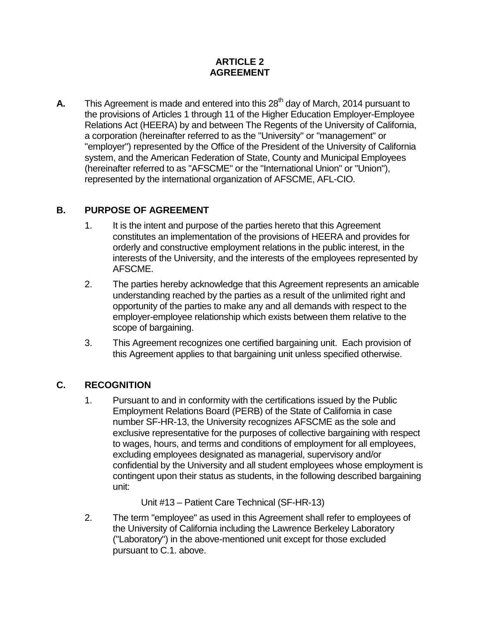#### **ARTICLE 2 AGREEMENT**

**A.** This Agreement is made and entered into this 28<sup>th</sup> day of March, 2014 pursuant to the provisions of Articles 1 through 11 of the Higher Education Employer-Employee Relations Act (HEERA) by and between The Regents of the University of California, a corporation (hereinafter referred to as the "University" or "management" or "employer") represented by the Office of the President of the University of California system, and the American Federation of State, County and Municipal Employees (hereinafter referred to as "AFSCME" or the "International Union" or "Union"), represented by the international organization of AFSCME, AFL-CIO.

#### **B. PURPOSE OF AGREEMENT**

- 1. It is the intent and purpose of the parties hereto that this Agreement constitutes an implementation of the provisions of HEERA and provides for orderly and constructive employment relations in the public interest, in the interests of the University, and the interests of the employees represented by AFSCME.
- 2. The parties hereby acknowledge that this Agreement represents an amicable understanding reached by the parties as a result of the unlimited right and opportunity of the parties to make any and all demands with respect to the employer-employee relationship which exists between them relative to the scope of bargaining.
- 3. This Agreement recognizes one certified bargaining unit. Each provision of this Agreement applies to that bargaining unit unless specified otherwise.

# **C. RECOGNITION**

1. Pursuant to and in conformity with the certifications issued by the Public Employment Relations Board (PERB) of the State of California in case number SF-HR-13, the University recognizes AFSCME as the sole and exclusive representative for the purposes of collective bargaining with respect to wages, hours, and terms and conditions of employment for all employees, excluding employees designated as managerial, supervisory and/or confidential by the University and all student employees whose employment is contingent upon their status as students, in the following described bargaining unit:

Unit #13 – Patient Care Technical (SF-HR-13)

2. The term "employee" as used in this Agreement shall refer to employees of the University of California including the Lawrence Berkeley Laboratory ("Laboratory") in the above-mentioned unit except for those excluded pursuant to C.1. above.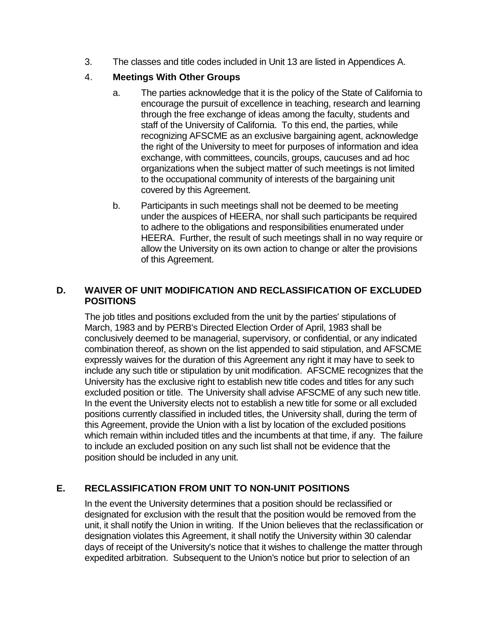3. The classes and title codes included in Unit 13 are listed in Appendices A.

#### 4. **Meetings With Other Groups**

- a. The parties acknowledge that it is the policy of the State of California to encourage the pursuit of excellence in teaching, research and learning through the free exchange of ideas among the faculty, students and staff of the University of California. To this end, the parties, while recognizing AFSCME as an exclusive bargaining agent, acknowledge the right of the University to meet for purposes of information and idea exchange, with committees, councils, groups, caucuses and ad hoc organizations when the subject matter of such meetings is not limited to the occupational community of interests of the bargaining unit covered by this Agreement.
- b. Participants in such meetings shall not be deemed to be meeting under the auspices of HEERA, nor shall such participants be required to adhere to the obligations and responsibilities enumerated under HEERA. Further, the result of such meetings shall in no way require or allow the University on its own action to change or alter the provisions of this Agreement.

### **D. WAIVER OF UNIT MODIFICATION AND RECLASSIFICATION OF EXCLUDED POSITIONS**

The job titles and positions excluded from the unit by the parties' stipulations of March, 1983 and by PERB's Directed Election Order of April, 1983 shall be conclusively deemed to be managerial, supervisory, or confidential, or any indicated combination thereof, as shown on the list appended to said stipulation, and AFSCME expressly waives for the duration of this Agreement any right it may have to seek to include any such title or stipulation by unit modification. AFSCME recognizes that the University has the exclusive right to establish new title codes and titles for any such excluded position or title. The University shall advise AFSCME of any such new title. In the event the University elects not to establish a new title for some or all excluded positions currently classified in included titles, the University shall, during the term of this Agreement, provide the Union with a list by location of the excluded positions which remain within included titles and the incumbents at that time, if any. The failure to include an excluded position on any such list shall not be evidence that the position should be included in any unit.

# **E. RECLASSIFICATION FROM UNIT TO NON-UNIT POSITIONS**

In the event the University determines that a position should be reclassified or designated for exclusion with the result that the position would be removed from the unit, it shall notify the Union in writing. If the Union believes that the reclassification or designation violates this Agreement, it shall notify the University within 30 calendar days of receipt of the University's notice that it wishes to challenge the matter through expedited arbitration. Subsequent to the Union's notice but prior to selection of an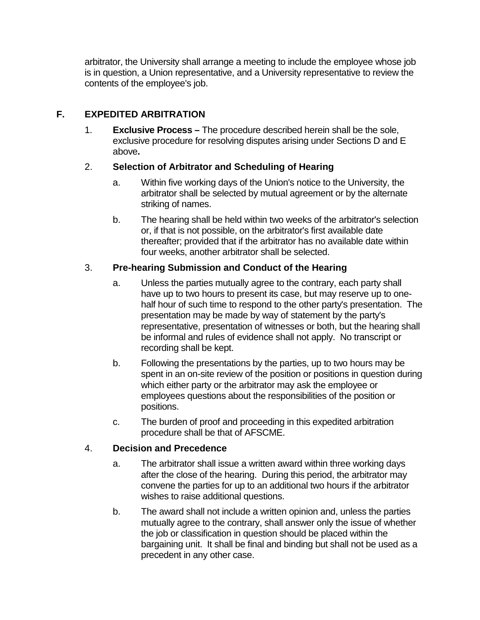arbitrator, the University shall arrange a meeting to include the employee whose job is in question, a Union representative, and a University representative to review the contents of the employee's job.

# **F. EXPEDITED ARBITRATION**

1. **Exclusive Process –** The procedure described herein shall be the sole, exclusive procedure for resolving disputes arising under Sections D and E above**.**

#### 2. **Selection of Arbitrator and Scheduling of Hearing**

- a. Within five working days of the Union's notice to the University, the arbitrator shall be selected by mutual agreement or by the alternate striking of names.
- b. The hearing shall be held within two weeks of the arbitrator's selection or, if that is not possible, on the arbitrator's first available date thereafter; provided that if the arbitrator has no available date within four weeks, another arbitrator shall be selected.

# 3. **Pre-hearing Submission and Conduct of the Hearing**

- a. Unless the parties mutually agree to the contrary, each party shall have up to two hours to present its case, but may reserve up to onehalf hour of such time to respond to the other party's presentation. The presentation may be made by way of statement by the party's representative, presentation of witnesses or both, but the hearing shall be informal and rules of evidence shall not apply. No transcript or recording shall be kept.
- b. Following the presentations by the parties, up to two hours may be spent in an on-site review of the position or positions in question during which either party or the arbitrator may ask the employee or employees questions about the responsibilities of the position or positions.
- c. The burden of proof and proceeding in this expedited arbitration procedure shall be that of AFSCME.

# 4. **Decision and Precedence**

- a. The arbitrator shall issue a written award within three working days after the close of the hearing. During this period, the arbitrator may convene the parties for up to an additional two hours if the arbitrator wishes to raise additional questions.
- b. The award shall not include a written opinion and, unless the parties mutually agree to the contrary, shall answer only the issue of whether the job or classification in question should be placed within the bargaining unit. It shall be final and binding but shall not be used as a precedent in any other case.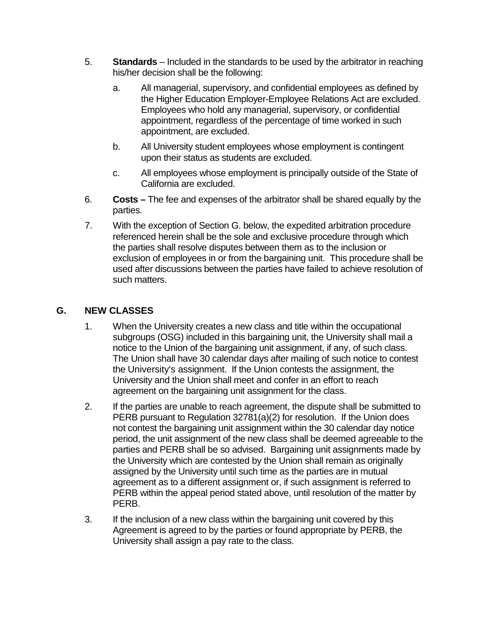- 5. **Standards** Included in the standards to be used by the arbitrator in reaching his/her decision shall be the following:
	- a. All managerial, supervisory, and confidential employees as defined by the Higher Education Employer-Employee Relations Act are excluded. Employees who hold any managerial, supervisory, or confidential appointment, regardless of the percentage of time worked in such appointment, are excluded.
	- b. All University student employees whose employment is contingent upon their status as students are excluded.
	- c. All employees whose employment is principally outside of the State of California are excluded.
- 6. **Costs –** The fee and expenses of the arbitrator shall be shared equally by the parties.
- 7. With the exception of Section G. below, the expedited arbitration procedure referenced herein shall be the sole and exclusive procedure through which the parties shall resolve disputes between them as to the inclusion or exclusion of employees in or from the bargaining unit. This procedure shall be used after discussions between the parties have failed to achieve resolution of such matters.

### **G. NEW CLASSES**

- 1. When the University creates a new class and title within the occupational subgroups (OSG) included in this bargaining unit, the University shall mail a notice to the Union of the bargaining unit assignment, if any, of such class. The Union shall have 30 calendar days after mailing of such notice to contest the University's assignment. If the Union contests the assignment, the University and the Union shall meet and confer in an effort to reach agreement on the bargaining unit assignment for the class.
- 2. If the parties are unable to reach agreement, the dispute shall be submitted to PERB pursuant to Regulation 32781(a)(2) for resolution. If the Union does not contest the bargaining unit assignment within the 30 calendar day notice period, the unit assignment of the new class shall be deemed agreeable to the parties and PERB shall be so advised. Bargaining unit assignments made by the University which are contested by the Union shall remain as originally assigned by the University until such time as the parties are in mutual agreement as to a different assignment or, if such assignment is referred to PERB within the appeal period stated above, until resolution of the matter by PERB.
- 3. If the inclusion of a new class within the bargaining unit covered by this Agreement is agreed to by the parties or found appropriate by PERB, the University shall assign a pay rate to the class.